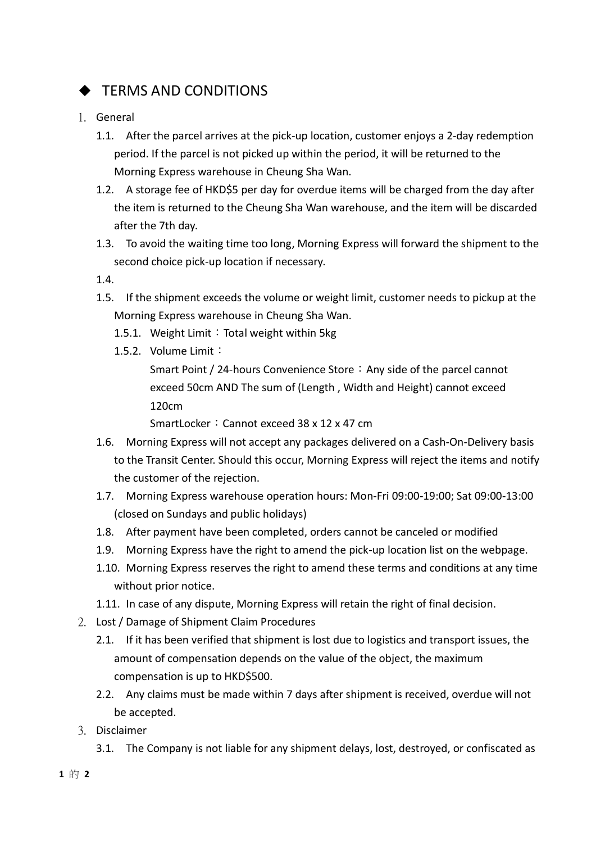## $\triangle$  TERMS AND CONDITIONS

- 1. General
	- 1.1. After the parcel arrives at the pick-up location, customer enjoys a 2-day redemption period. If the parcel is not picked up within the period, it will be returned to the Morning Express warehouse in Cheung Sha Wan.
	- 1.2. A storage fee of HKD\$5 per day for overdue items will be charged from the day after the item is returned to the Cheung Sha Wan warehouse, and the item will be discarded after the 7th day.
	- 1.3. To avoid the waiting time too long, Morning Express will forward the shipment to the second choice pick-up location if necessary.
	- 1.4.
	- 1.5. If the shipment exceeds the volume or weight limit, customer needs to pickup at the Morning Express warehouse in Cheung Sha Wan.
		- 1.5.1. Weight Limit: Total weight within 5kg
		- 1.5.2. Volume Limit:

Smart Point / 24-hours Convenience Store: Any side of the parcel cannot exceed 50cm AND The sum of (Length , Width and Height) cannot exceed 120cm

SmartLocker: Cannot exceed 38 x 12 x 47 cm

- 1.6. Morning Express will not accept any packages delivered on a Cash-On-Delivery basis to the Transit Center. Should this occur, Morning Express will reject the items and notify the customer of the rejection.
- 1.7. Morning Express warehouse operation hours: Mon-Fri 09:00-19:00; Sat 09:00-13:00 (closed on Sundays and public holidays)
- 1.8. After payment have been completed, orders cannot be canceled or modified
- 1.9. Morning Express have the right to amend the pick-up location list on the webpage.
- 1.10. Morning Express reserves the right to amend these terms and conditions at any time without prior notice.
- 1.11. In case of any dispute, Morning Express will retain the right of final decision.
- 2. Lost / Damage of Shipment Claim Procedures
	- 2.1. If it has been verified that shipment is lost due to logistics and transport issues, the amount of compensation depends on the value of the object, the maximum compensation is up to HKD\$500.
	- 2.2. Any claims must be made within 7 days after shipment is received, overdue will not be accepted.
- 3. Disclaimer
	- 3.1. The Company is not liable for any shipment delays, lost, destroyed, or confiscated as